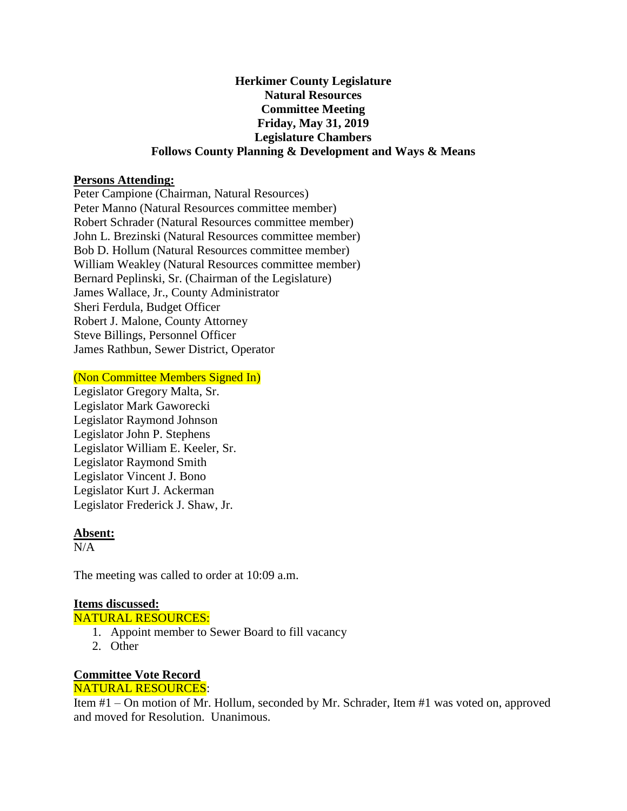# **Herkimer County Legislature Natural Resources Committee Meeting Friday, May 31, 2019 Legislature Chambers Follows County Planning & Development and Ways & Means**

## **Persons Attending:**

Peter Campione (Chairman, Natural Resources) Peter Manno (Natural Resources committee member) Robert Schrader (Natural Resources committee member) John L. Brezinski (Natural Resources committee member) Bob D. Hollum (Natural Resources committee member) William Weakley (Natural Resources committee member) Bernard Peplinski, Sr. (Chairman of the Legislature) James Wallace, Jr., County Administrator Sheri Ferdula, Budget Officer Robert J. Malone, County Attorney Steve Billings, Personnel Officer James Rathbun, Sewer District, Operator

#### (Non Committee Members Signed In)

Legislator Gregory Malta, Sr. Legislator Mark Gaworecki Legislator Raymond Johnson Legislator John P. Stephens Legislator William E. Keeler, Sr. Legislator Raymond Smith Legislator Vincent J. Bono Legislator Kurt J. Ackerman Legislator Frederick J. Shaw, Jr.

## **Absent:**

 $N/A$ 

The meeting was called to order at 10:09 a.m.

## **Items discussed:**

NATURAL RESOURCES:

- 1. Appoint member to Sewer Board to fill vacancy
- 2. Other

#### **Committee Vote Record** NATURAL RESOURCES:

Item #1 – On motion of Mr. Hollum, seconded by Mr. Schrader, Item #1 was voted on, approved and moved for Resolution. Unanimous.